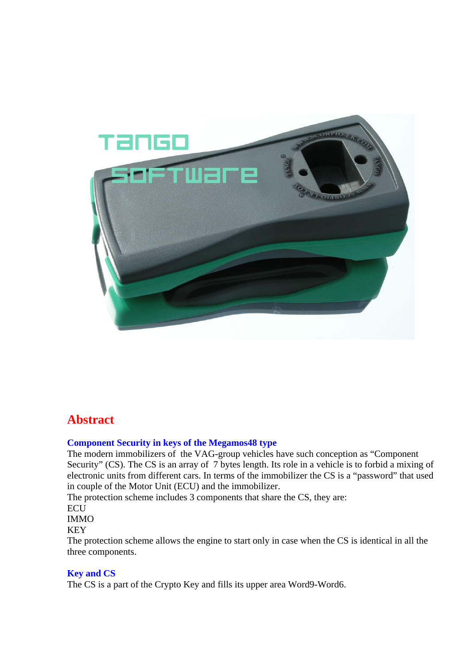

# **Abstract**

#### **Component Security in keys of the Megamos48 type**

The modern immobilizers of the VAG-group vehicles have such conception as "Component Security" (CS). The CS is an array of 7 bytes length. Its role in a vehicle is to forbid a mixing of electronic units from different cars. In terms of the immobilizer the CS is a "password" that used in couple of the Motor Unit (ECU) and the immobilizer.

The protection scheme includes 3 components that share the CS, they are:

## ECU

IMMO

### KEY

The protection scheme allows the engine to start only in case when the CS is identical in all the three components.

#### **Key and CS**

The CS is a part of the Crypto Key and fills its upper area Word9-Word6.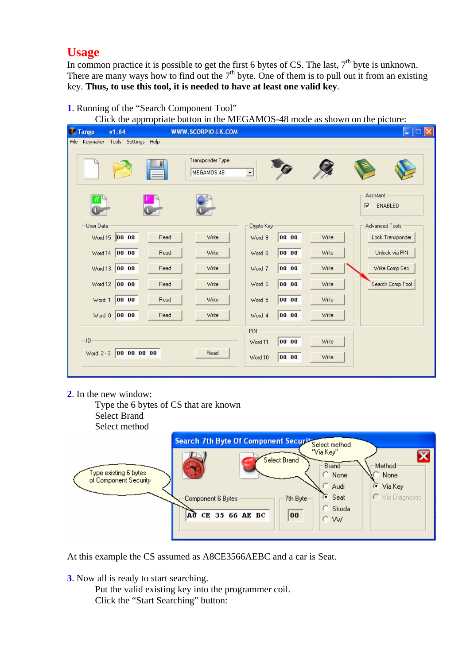# **Usage**

In common practice it is possible to get the first 6 bytes of CS. The last,  $7<sup>th</sup>$  byte is unknown. There are many ways how to find out the  $7<sup>th</sup>$  byte. One of them is to pull out it from an existing key. **Thus, to use this tool, it is needed to have at least one valid key**.

**1**. Running of the "Search Component Tool"

Click the appropriate button in the MEGAMOS-48 mode as shown on the picture:

| <b>Tango</b>                         | v1.64          |      | <b>WWW.SCORPIO-LK.COM</b>      |                          |       |       | x<br>Е<br>$\sim$                                |
|--------------------------------------|----------------|------|--------------------------------|--------------------------|-------|-------|-------------------------------------------------|
| Keymaker Tools Settings Help<br>File |                |      |                                |                          |       |       |                                                 |
|                                      |                |      | Transponder Type<br>MEGAMOS 48 | $\overline{\phantom{a}}$ |       |       |                                                 |
| $\boldsymbol{R}$                     |                |      |                                |                          |       |       | Assistant<br>$\overline{\mathbf{v}}$<br>ENABLED |
| <b>User Data</b>                     |                |      |                                | Crypto Key               |       |       | <b>Advanced Tools</b>                           |
|                                      | Word 15 00 00  | Read | Write                          | Word 9                   | 00 00 | Write | Lock Transponder                                |
|                                      | Word 14 00 00  | Read | Write                          | Word 8                   | 00 00 | Write | Unlock via PIN                                  |
|                                      | Word 13 00 00  | Read | Write                          | Word 7                   | 00 00 | Write | Write Comp Sec                                  |
|                                      | Word 12 00 00  | Read | Write                          | Word 6                   | 00 00 | Write | Search Comp Tool                                |
|                                      | Word 1 00 00   | Read | Write                          | Word 5                   | 00 00 | Write |                                                 |
|                                      | Word $0$ 00 00 | Read | Write                          | Word 4                   | 00 00 | Write |                                                 |
| PIN-                                 |                |      |                                |                          |       |       |                                                 |
| ID                                   |                |      |                                | Word 11                  | 00 00 | Write |                                                 |
| Word 2-3 00 00 00 00                 |                |      | Read                           | Word 10                  | 00 00 | Write |                                                 |
|                                      |                |      |                                |                          |       |       |                                                 |

**2**. In the new window:



At this example the CS assumed as A8CE3566AEBC and a car is Seat.

**3**. Now all is ready to start searching.

Put the valid existing key into the programmer coil. Click the "Start Searching" button: